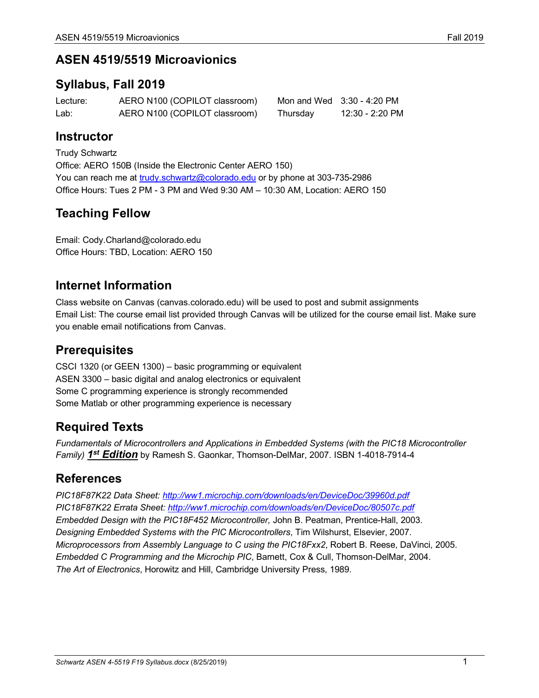## **ASEN 4519/5519 Microavionics**

### **Syllabus, Fall 2019**

| Lecture: | AERO N100 (COPILOT classroom) |          | Mon and Wed $3:30 - 4:20$ PM |
|----------|-------------------------------|----------|------------------------------|
| Lab:     | AERO N100 (COPILOT classroom) | Thursday | 12:30 - 2:20 PM              |

## **Instructor**

Trudy Schwartz Office: AERO 150B (Inside the Electronic Center AERO 150) You can reach me at trudy.schwartz@colorado.edu or by phone at 303-735-2986 Office Hours: Tues 2 PM - 3 PM and Wed 9:30 AM – 10:30 AM, Location: AERO 150

## **Teaching Fellow**

Email: Cody.Charland@colorado.edu Office Hours: TBD, Location: AERO 150

## **Internet Information**

Class website on Canvas (canvas.colorado.edu) will be used to post and submit assignments Email List: The course email list provided through Canvas will be utilized for the course email list. Make sure you enable email notifications from Canvas.

## **Prerequisites**

CSCI 1320 (or GEEN 1300) – basic programming or equivalent ASEN 3300 – basic digital and analog electronics or equivalent Some C programming experience is strongly recommended Some Matlab or other programming experience is necessary

## **Required Texts**

*Fundamentals of Microcontrollers and Applications in Embedded Systems (with the PIC18 Microcontroller Family) 1st Edition* by Ramesh S. Gaonkar, Thomson-DelMar, 2007. ISBN 1-4018-7914-4

## **References**

*PIC18F87K22 Data Sheet: http://ww1.microchip.com/downloads/en/DeviceDoc/39960d.pdf PIC18F87K22 Errata Sheet: http://ww1.microchip.com/downloads/en/DeviceDoc/80507c.pdf Embedded Design with the PIC18F452 Microcontroller,* John B. Peatman, Prentice-Hall, 2003. *Designing Embedded Systems with the PIC Microcontrollers*, Tim Wilshurst, Elsevier, 2007. *Microprocessors from Assembly Language to C using the PIC18Fxx2*, Robert B. Reese, DaVinci, 2005. *Embedded C Programming and the Microchip PIC*, Barnett, Cox & Cull, Thomson-DelMar, 2004. *The Art of Electronics*, Horowitz and Hill, Cambridge University Press, 1989.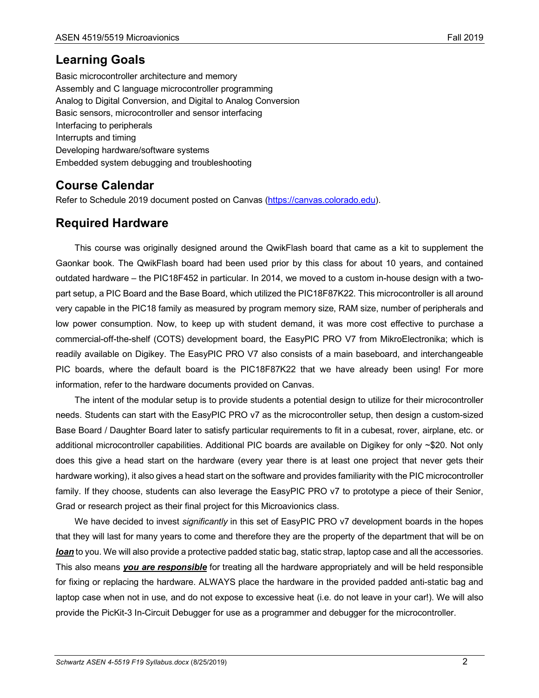## **Learning Goals**

Basic microcontroller architecture and memory Assembly and C language microcontroller programming Analog to Digital Conversion, and Digital to Analog Conversion Basic sensors, microcontroller and sensor interfacing Interfacing to peripherals Interrupts and timing Developing hardware/software systems Embedded system debugging and troubleshooting

## **Course Calendar**

Refer to Schedule 2019 document posted on Canvas (https://canvas.colorado.edu).

## **Required Hardware**

This course was originally designed around the QwikFlash board that came as a kit to supplement the Gaonkar book. The QwikFlash board had been used prior by this class for about 10 years, and contained outdated hardware – the PIC18F452 in particular. In 2014, we moved to a custom in-house design with a twopart setup, a PIC Board and the Base Board, which utilized the PIC18F87K22. This microcontroller is all around very capable in the PIC18 family as measured by program memory size, RAM size, number of peripherals and low power consumption. Now, to keep up with student demand, it was more cost effective to purchase a commercial-off-the-shelf (COTS) development board, the EasyPIC PRO V7 from MikroElectronika; which is readily available on Digikey. The EasyPIC PRO V7 also consists of a main baseboard, and interchangeable PIC boards, where the default board is the PIC18F87K22 that we have already been using! For more information, refer to the hardware documents provided on Canvas.

The intent of the modular setup is to provide students a potential design to utilize for their microcontroller needs. Students can start with the EasyPIC PRO v7 as the microcontroller setup, then design a custom-sized Base Board / Daughter Board later to satisfy particular requirements to fit in a cubesat, rover, airplane, etc. or additional microcontroller capabilities. Additional PIC boards are available on Digikey for only ~\$20. Not only does this give a head start on the hardware (every year there is at least one project that never gets their hardware working), it also gives a head start on the software and provides familiarity with the PIC microcontroller family. If they choose, students can also leverage the EasyPIC PRO v7 to prototype a piece of their Senior, Grad or research project as their final project for this Microavionics class.

We have decided to invest *significantly* in this set of EasyPIC PRO v7 development boards in the hopes that they will last for many years to come and therefore they are the property of the department that will be on *loan* to you. We will also provide a protective padded static bag, static strap, laptop case and all the accessories. This also means *you are responsible* for treating all the hardware appropriately and will be held responsible for fixing or replacing the hardware. ALWAYS place the hardware in the provided padded anti-static bag and laptop case when not in use, and do not expose to excessive heat (i.e. do not leave in your car!). We will also provide the PicKit-3 In-Circuit Debugger for use as a programmer and debugger for the microcontroller.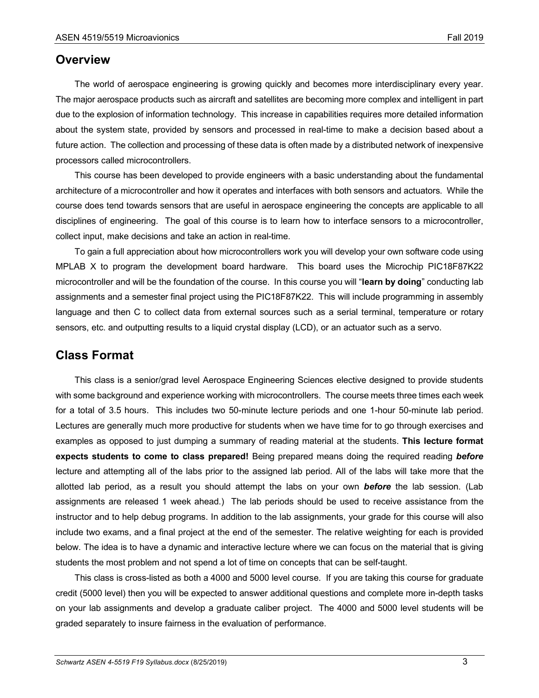#### **Overview**

The world of aerospace engineering is growing quickly and becomes more interdisciplinary every year. The major aerospace products such as aircraft and satellites are becoming more complex and intelligent in part due to the explosion of information technology. This increase in capabilities requires more detailed information about the system state, provided by sensors and processed in real-time to make a decision based about a future action. The collection and processing of these data is often made by a distributed network of inexpensive processors called microcontrollers.

This course has been developed to provide engineers with a basic understanding about the fundamental architecture of a microcontroller and how it operates and interfaces with both sensors and actuators. While the course does tend towards sensors that are useful in aerospace engineering the concepts are applicable to all disciplines of engineering. The goal of this course is to learn how to interface sensors to a microcontroller, collect input, make decisions and take an action in real-time.

To gain a full appreciation about how microcontrollers work you will develop your own software code using MPLAB X to program the development board hardware. This board uses the Microchip PIC18F87K22 microcontroller and will be the foundation of the course. In this course you will "**learn by doing**" conducting lab assignments and a semester final project using the PIC18F87K22. This will include programming in assembly language and then C to collect data from external sources such as a serial terminal, temperature or rotary sensors, etc. and outputting results to a liquid crystal display (LCD), or an actuator such as a servo.

#### **Class Format**

This class is a senior/grad level Aerospace Engineering Sciences elective designed to provide students with some background and experience working with microcontrollers. The course meets three times each week for a total of 3.5 hours. This includes two 50-minute lecture periods and one 1-hour 50-minute lab period. Lectures are generally much more productive for students when we have time for to go through exercises and examples as opposed to just dumping a summary of reading material at the students. **This lecture format expects students to come to class prepared!** Being prepared means doing the required reading *before* lecture and attempting all of the labs prior to the assigned lab period. All of the labs will take more that the allotted lab period, as a result you should attempt the labs on your own *before* the lab session. (Lab assignments are released 1 week ahead.) The lab periods should be used to receive assistance from the instructor and to help debug programs. In addition to the lab assignments, your grade for this course will also include two exams, and a final project at the end of the semester. The relative weighting for each is provided below. The idea is to have a dynamic and interactive lecture where we can focus on the material that is giving students the most problem and not spend a lot of time on concepts that can be self-taught.

This class is cross-listed as both a 4000 and 5000 level course. If you are taking this course for graduate credit (5000 level) then you will be expected to answer additional questions and complete more in-depth tasks on your lab assignments and develop a graduate caliber project. The 4000 and 5000 level students will be graded separately to insure fairness in the evaluation of performance.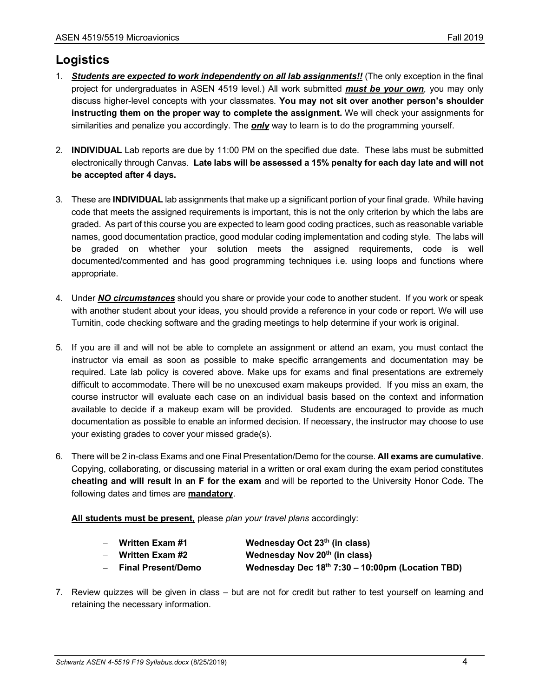## **Logistics**

- 1. *Students are expected to work independently on all lab assignments!!* (The only exception in the final project for undergraduates in ASEN 4519 level.) All work submitted *must be your own*, you may only discuss higher-level concepts with your classmates. **You may not sit over another person's shoulder instructing them on the proper way to complete the assignment.** We will check your assignments for similarities and penalize you accordingly. The *only* way to learn is to do the programming yourself.
- 2. **INDIVIDUAL** Lab reports are due by 11:00 PM on the specified due date. These labs must be submitted electronically through Canvas. **Late labs will be assessed a 15% penalty for each day late and will not be accepted after 4 days.**
- 3. These are **INDIVIDUAL** lab assignments that make up a significant portion of your final grade. While having code that meets the assigned requirements is important, this is not the only criterion by which the labs are graded. As part of this course you are expected to learn good coding practices, such as reasonable variable names, good documentation practice, good modular coding implementation and coding style. The labs will be graded on whether your solution meets the assigned requirements, code is well documented/commented and has good programming techniques i.e. using loops and functions where appropriate.
- 4. Under *NO circumstances* should you share or provide your code to another student. If you work or speak with another student about your ideas, you should provide a reference in your code or report. We will use Turnitin, code checking software and the grading meetings to help determine if your work is original.
- 5. If you are ill and will not be able to complete an assignment or attend an exam, you must contact the instructor via email as soon as possible to make specific arrangements and documentation may be required. Late lab policy is covered above. Make ups for exams and final presentations are extremely difficult to accommodate. There will be no unexcused exam makeups provided. If you miss an exam, the course instructor will evaluate each case on an individual basis based on the context and information available to decide if a makeup exam will be provided. Students are encouraged to provide as much documentation as possible to enable an informed decision. If necessary, the instructor may choose to use your existing grades to cover your missed grade(s).
- 6. There will be 2 in-class Exams and one Final Presentation/Demo for the course. **All exams are cumulative**. Copying, collaborating, or discussing material in a written or oral exam during the exam period constitutes **cheating and will result in an F for the exam** and will be reported to the University Honor Code. The following dates and times are **mandatory**.

**All students must be present,** please *plan your travel plans* accordingly:

| <b>Written Exam #1</b> | Wednesday Oct 23 <sup>th</sup> (in class) |
|------------------------|-------------------------------------------|
| Written Exam #2        | Wednesday Nov 20 <sup>th</sup> (in class) |

- **Final Present/Demo Wednesday Dec 18th 7:30 – 10:00pm (Location TBD)**
- 7. Review quizzes will be given in class but are not for credit but rather to test yourself on learning and retaining the necessary information.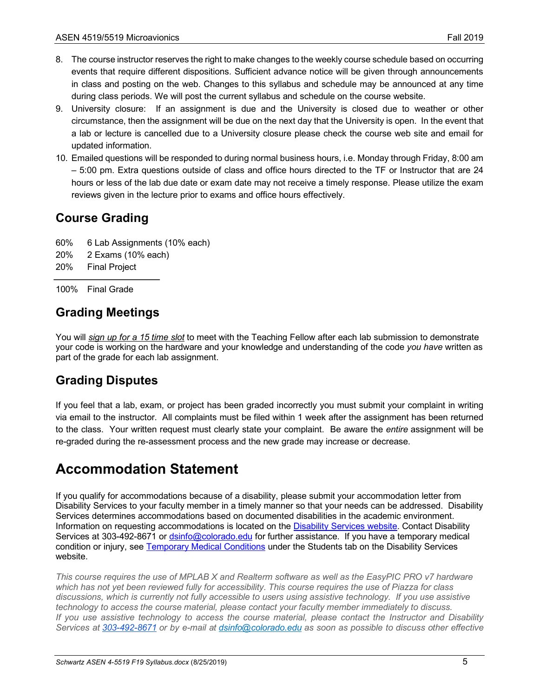- 8. The course instructor reserves the right to make changes to the weekly course schedule based on occurring events that require different dispositions. Sufficient advance notice will be given through announcements in class and posting on the web. Changes to this syllabus and schedule may be announced at any time during class periods. We will post the current syllabus and schedule on the course website.
- 9. University closure: If an assignment is due and the University is closed due to weather or other circumstance, then the assignment will be due on the next day that the University is open. In the event that a lab or lecture is cancelled due to a University closure please check the course web site and email for updated information.
- 10. Emailed questions will be responded to during normal business hours, i.e. Monday through Friday, 8:00 am – 5:00 pm. Extra questions outside of class and office hours directed to the TF or Instructor that are 24 hours or less of the lab due date or exam date may not receive a timely response. Please utilize the exam reviews given in the lecture prior to exams and office hours effectively.

## **Course Grading**

- 60% 6 Lab Assignments (10% each)
- 20% 2 Exams (10% each)
- 20% Final Project

100% Final Grade

## **Grading Meetings**

You will *sign up for a 15 time slot* to meet with the Teaching Fellow after each lab submission to demonstrate your code is working on the hardware and your knowledge and understanding of the code *you have* written as part of the grade for each lab assignment.

## **Grading Disputes**

If you feel that a lab, exam, or project has been graded incorrectly you must submit your complaint in writing via email to the instructor. All complaints must be filed within 1 week after the assignment has been returned to the class. Your written request must clearly state your complaint. Be aware the *entire* assignment will be re-graded during the re-assessment process and the new grade may increase or decrease.

# **Accommodation Statement**

If you qualify for accommodations because of a disability, please submit your accommodation letter from Disability Services to your faculty member in a timely manner so that your needs can be addressed. Disability Services determines accommodations based on documented disabilities in the academic environment. Information on requesting accommodations is located on the Disability Services website. Contact Disability Services at 303-492-8671 or dsinfo@colorado.edu for further assistance. If you have a temporary medical condition or injury, see Temporary Medical Conditions under the Students tab on the Disability Services website.

*This course requires the use of MPLAB X and Realterm software as well as the EasyPIC PRO v7 hardware which has not yet been reviewed fully for accessibility. This course requires the use of Piazza for class discussions, which is currently not fully accessible to users using assistive technology. If you use assistive technology to access the course material, please contact your faculty member immediately to discuss. If you use assistive technology to access the course material, please contact the Instructor and Disability Services at 303-492-8671 or by e-mail at dsinfo@colorado.edu as soon as possible to discuss other effective*